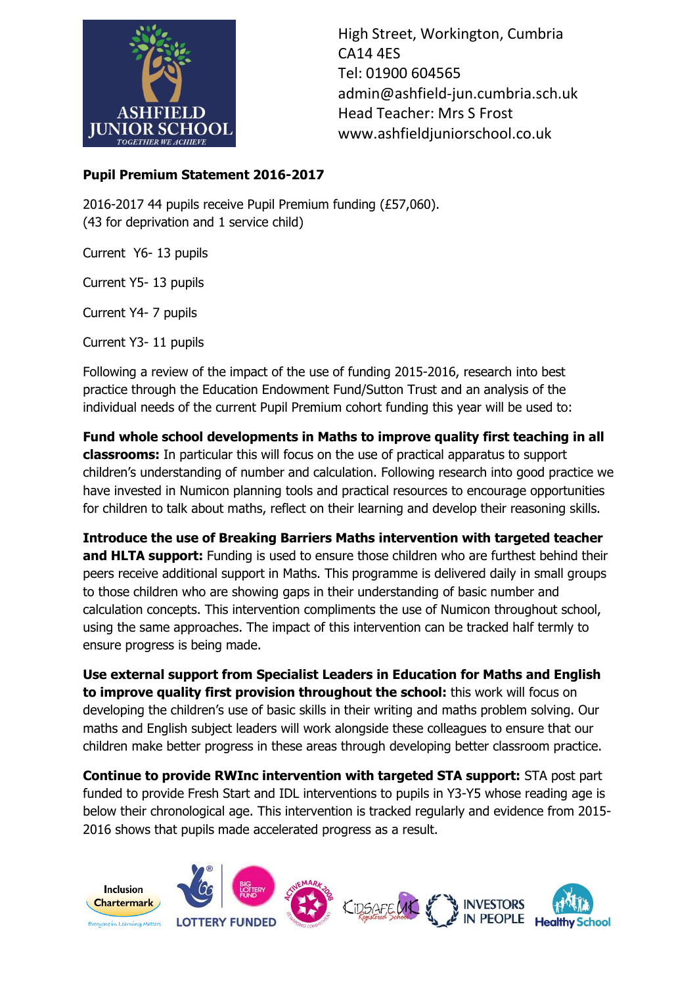

High Street, Workington, Cumbria CA14 4ES Tel: 01900 604565 admin@ashfield-jun.cumbria.sch.uk Head Teacher: Mrs S Frost www.ashfieldjuniorschool.co.uk

## **Pupil Premium Statement 2016-2017**

2016-2017 44 pupils receive Pupil Premium funding (£57,060). (43 for deprivation and 1 service child)

Current Y6- 13 pupils

Current Y5- 13 pupils

Current Y4- 7 pupils

Current Y3- 11 pupils

Following a review of the impact of the use of funding 2015-2016, research into best practice through the Education Endowment Fund/Sutton Trust and an analysis of the individual needs of the current Pupil Premium cohort funding this year will be used to:

**Fund whole school developments in Maths to improve quality first teaching in all classrooms:** In particular this will focus on the use of practical apparatus to support children's understanding of number and calculation. Following research into good practice we have invested in Numicon planning tools and practical resources to encourage opportunities for children to talk about maths, reflect on their learning and develop their reasoning skills.

**Introduce the use of Breaking Barriers Maths intervention with targeted teacher**  and HLTA support: Funding is used to ensure those children who are furthest behind their peers receive additional support in Maths. This programme is delivered daily in small groups to those children who are showing gaps in their understanding of basic number and calculation concepts. This intervention compliments the use of Numicon throughout school, using the same approaches. The impact of this intervention can be tracked half termly to ensure progress is being made.

**Use external support from Specialist Leaders in Education for Maths and English to improve quality first provision throughout the school:** this work will focus on developing the children's use of basic skills in their writing and maths problem solving. Our maths and English subject leaders will work alongside these colleagues to ensure that our children make better progress in these areas through developing better classroom practice.

**Continue to provide RWInc intervention with targeted STA support:** STA post part funded to provide Fresh Start and IDL interventions to pupils in Y3-Y5 whose reading age is below their chronological age. This intervention is tracked regularly and evidence from 2015- 2016 shows that pupils made accelerated progress as a result.